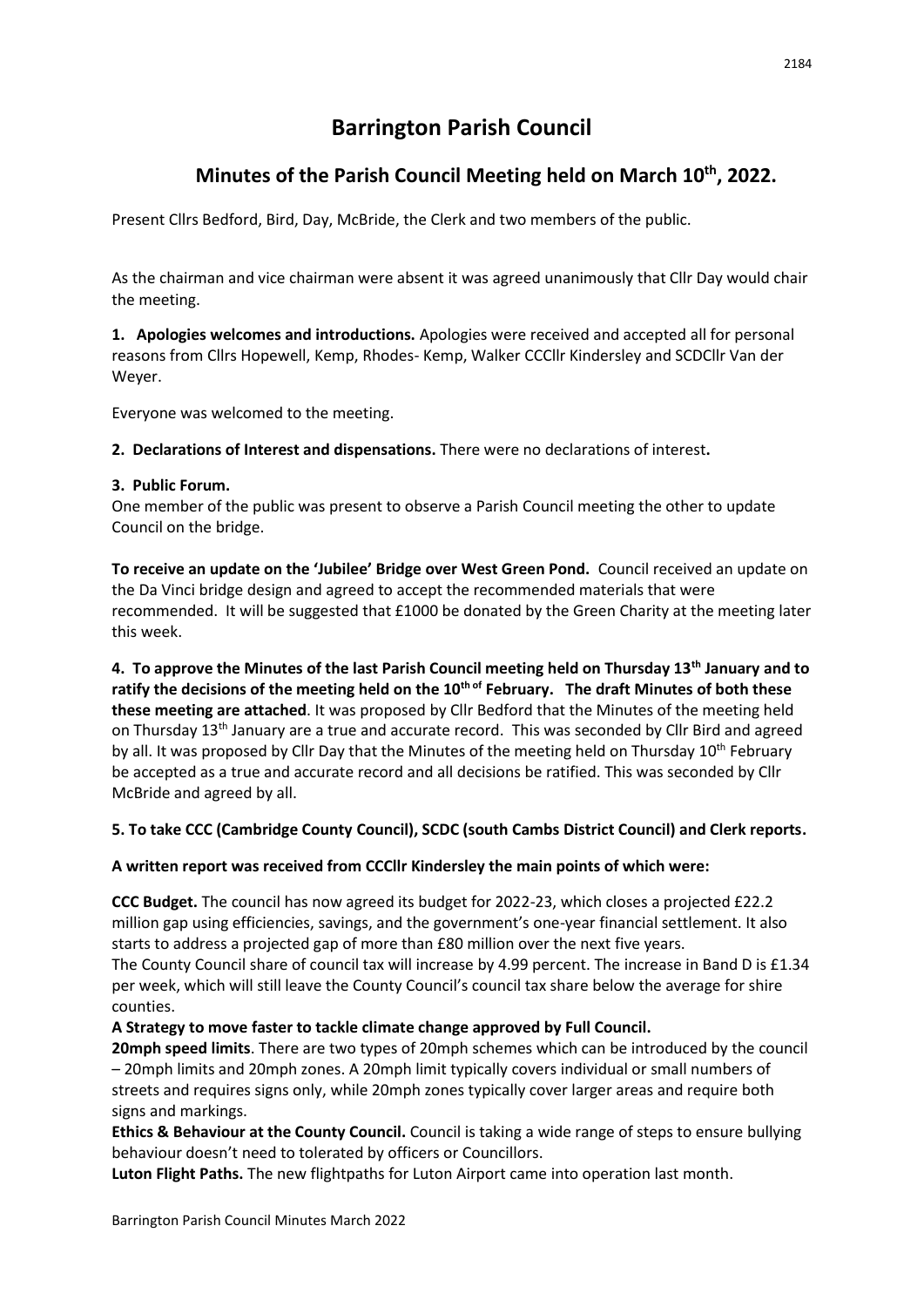# **Barrington Parish Council**

# **Minutes of the Parish Council Meeting held on March 10th, 2022.**

Present Cllrs Bedford, Bird, Day, McBride, the Clerk and two members of the public.

As the chairman and vice chairman were absent it was agreed unanimously that Cllr Day would chair the meeting.

**1. Apologies welcomes and introductions.** Apologies were received and accepted all for personal reasons from Cllrs Hopewell, Kemp, Rhodes- Kemp, Walker CCCllr Kindersley and SCDCllr Van der Weyer.

Everyone was welcomed to the meeting.

**2. Declarations of Interest and dispensations.** There were no declarations of interest**.** 

### **3. Public Forum.**

One member of the public was present to observe a Parish Council meeting the other to update Council on the bridge.

**To receive an update on the 'Jubilee' Bridge over West Green Pond.** Council received an update on the Da Vinci bridge design and agreed to accept the recommended materials that were recommended. It will be suggested that £1000 be donated by the Green Charity at the meeting later this week.

**4. To approve the Minutes of the last Parish Council meeting held on Thursday 13th January and to ratify the decisions of the meeting held on the 10th of February. The draft Minutes of both these these meeting are attached**. It was proposed by Cllr Bedford that the Minutes of the meeting held on Thursday 13th January are a true and accurate record. This was seconded by Cllr Bird and agreed by all. It was proposed by Cllr Day that the Minutes of the meeting held on Thursday 10<sup>th</sup> February be accepted as a true and accurate record and all decisions be ratified. This was seconded by Cllr McBride and agreed by all.

# **5. To take CCC (Cambridge County Council), SCDC (south Cambs District Council) and Clerk reports.**

# **A written report was received from CCCllr Kindersley the main points of which were:**

**CCC Budget.** The council has now agreed its budget for 2022-23, which closes a projected £22.2 million gap using efficiencies, savings, and the government's one-year financial settlement. It also starts to address a projected gap of more than £80 million over the next five years. The County Council share of council tax will increase by 4.99 percent. The increase in Band D is £1.34 per week, which will still leave the County Council's council tax share below the average for shire counties.

# **A Strategy to move faster to tackle climate change approved by Full Council.**

**20mph speed limits**. There are two types of 20mph schemes which can be introduced by the council – 20mph limits and 20mph zones. A 20mph limit typically covers individual or small numbers of streets and requires signs only, while 20mph zones typically cover larger areas and require both signs and markings.

**Ethics & Behaviour at the County Council.** Council is taking a wide range of steps to ensure bullying behaviour doesn't need to tolerated by officers or Councillors.

**Luton Flight Paths.** The new flightpaths for Luton Airport came into operation last month.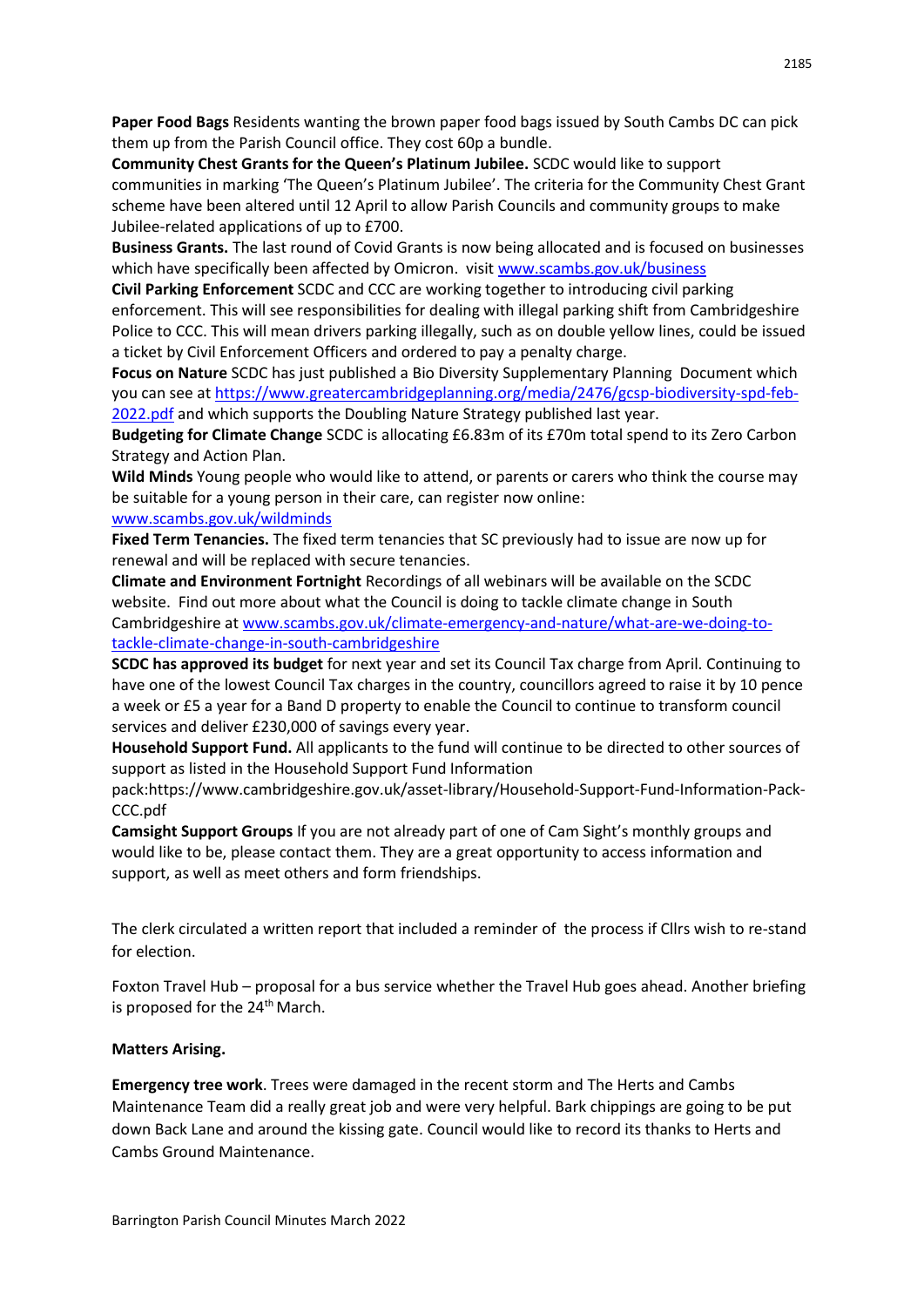**Paper Food Bags** Residents wanting the brown paper food bags issued by South Cambs DC can pick them up from the Parish Council office. They cost 60p a bundle.

**Community Chest Grants for the Queen's Platinum Jubilee.** SCDC would like to support communities in marking 'The Queen's Platinum Jubilee'. The criteria for the Community Chest Grant scheme have been altered until 12 April to allow Parish Councils and community groups to make Jubilee-related applications of up to £700.

**Business Grants.** The last round of Covid Grants is now being allocated and is focused on businesses which have specifically been affected by Omicron. visit [www.scambs.gov.uk/business](http://www.scambs.gov.uk/business)

**Civil Parking Enforcement** SCDC and CCC are working together to introducing civil parking enforcement. This will see responsibilities for dealing with illegal parking shift from Cambridgeshire Police to CCC. This will mean drivers parking illegally, such as on double yellow lines, could be issued a ticket by Civil Enforcement Officers and ordered to pay a penalty charge.

**Focus on Nature** SCDC has just published a Bio Diversity Supplementary Planning Document which you can see a[t https://www.greatercambridgeplanning.org/media/2476/gcsp-biodiversity-spd-feb-](https://www.greatercambridgeplanning.org/media/2476/gcsp-biodiversity-spd-feb-2022.pdf)[2022.pdf](https://www.greatercambridgeplanning.org/media/2476/gcsp-biodiversity-spd-feb-2022.pdf) and which supports the Doubling Nature Strategy published last year.

**Budgeting for Climate Change** SCDC is allocating £6.83m of its £70m total spend to its Zero Carbon Strategy and Action Plan.

**Wild Minds** Young people who would like to attend, or parents or carers who think the course may be suitable for a young person in their care, can register now online:

#### [www.scambs.gov.uk/wildminds](http://www.scambs.gov.uk/wildminds)

**Fixed Term Tenancies.** The fixed term tenancies that SC previously had to issue are now up for renewal and will be replaced with secure tenancies.

**Climate and Environment Fortnight** Recordings of all webinars will be available on the SCDC website. Find out more about what the Council is doing to tackle climate change in South Cambridgeshire at [www.scambs.gov.uk/climate-emergency-and-nature/what-are-we-doing-to](http://www.scambs.gov.uk/climate-emergency-and-nature/what-are-we-doing-to-tackle-climate-change-in-south-cambridgeshire)[tackle-climate-change-in-south-cambridgeshire](http://www.scambs.gov.uk/climate-emergency-and-nature/what-are-we-doing-to-tackle-climate-change-in-south-cambridgeshire)

**SCDC has approved its budget** for next year and set its Council Tax charge from April. Continuing to have one of the lowest Council Tax charges in the country, councillors agreed to raise it by 10 pence a week or £5 a year for a Band D property to enable the Council to continue to transform council services and deliver £230,000 of savings every year.

**Household Support Fund.** All applicants to the fund will continue to be directed to other sources of support as listed in the Household Support Fund Information

pack:https://www.cambridgeshire.gov.uk/asset-library/Household-Support-Fund-Information-Pack-CCC.pdf

**Camsight Support Groups** If you are not already part of one of Cam Sight's monthly groups and would like to be, please contact them. They are a great opportunity to access information and support, as well as meet others and form friendships.

The clerk circulated a written report that included a reminder of the process if Cllrs wish to re-stand for election.

Foxton Travel Hub – proposal for a bus service whether the Travel Hub goes ahead. Another briefing is proposed for the 24th March.

#### **Matters Arising.**

**Emergency tree work**. Trees were damaged in the recent storm and The Herts and Cambs Maintenance Team did a really great job and were very helpful. Bark chippings are going to be put down Back Lane and around the kissing gate. Council would like to record its thanks to Herts and Cambs Ground Maintenance.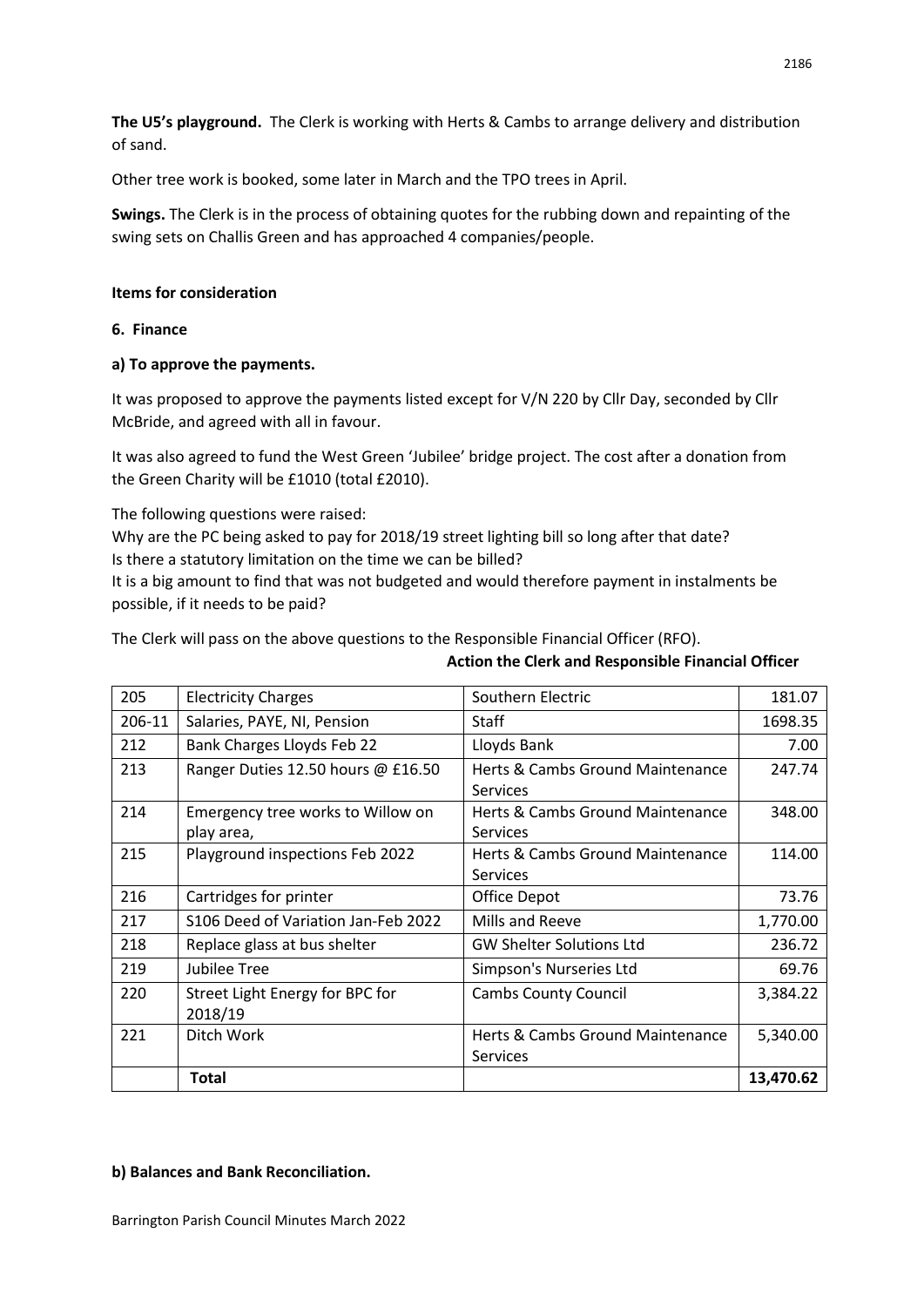**The U5's playground.** The Clerk is working with Herts & Cambs to arrange delivery and distribution of sand.

Other tree work is booked, some later in March and the TPO trees in April.

**Swings.** The Clerk is in the process of obtaining quotes for the rubbing down and repainting of the swing sets on Challis Green and has approached 4 companies/people.

#### **Items for consideration**

**6. Finance** 

# **a) To approve the payments.**

It was proposed to approve the payments listed except for V/N 220 by Cllr Day, seconded by Cllr McBride, and agreed with all in favour.

It was also agreed to fund the West Green 'Jubilee' bridge project. The cost after a donation from the Green Charity will be £1010 (total £2010).

The following questions were raised:

Why are the PC being asked to pay for 2018/19 street lighting bill so long after that date? Is there a statutory limitation on the time we can be billed?

It is a big amount to find that was not budgeted and would therefore payment in instalments be possible, if it needs to be paid?

The Clerk will pass on the above questions to the Responsible Financial Officer (RFO).

#### **Action the Clerk and Responsible Financial Officer**

| 205    | <b>Electricity Charges</b>                      | Southern Electric                                   | 181.07    |
|--------|-------------------------------------------------|-----------------------------------------------------|-----------|
| 206-11 | Salaries, PAYE, NI, Pension                     | <b>Staff</b>                                        | 1698.35   |
| 212    | Bank Charges Lloyds Feb 22                      | Lloyds Bank                                         | 7.00      |
| 213    | Ranger Duties 12.50 hours @ £16.50              | Herts & Cambs Ground Maintenance<br><b>Services</b> | 247.74    |
| 214    | Emergency tree works to Willow on<br>play area, | Herts & Cambs Ground Maintenance<br><b>Services</b> | 348.00    |
| 215    | Playground inspections Feb 2022                 | Herts & Cambs Ground Maintenance<br><b>Services</b> | 114.00    |
| 216    | Cartridges for printer                          | Office Depot                                        | 73.76     |
| 217    | S106 Deed of Variation Jan-Feb 2022             | Mills and Reeve                                     | 1,770.00  |
| 218    | Replace glass at bus shelter                    | <b>GW Shelter Solutions Ltd</b>                     | 236.72    |
| 219    | <b>Jubilee Tree</b>                             | Simpson's Nurseries Ltd                             | 69.76     |
| 220    | Street Light Energy for BPC for<br>2018/19      | <b>Cambs County Council</b>                         | 3,384.22  |
| 221    | Ditch Work                                      | Herts & Cambs Ground Maintenance<br><b>Services</b> | 5,340.00  |
|        | <b>Total</b>                                    |                                                     | 13,470.62 |

#### **b) Balances and Bank Reconciliation.**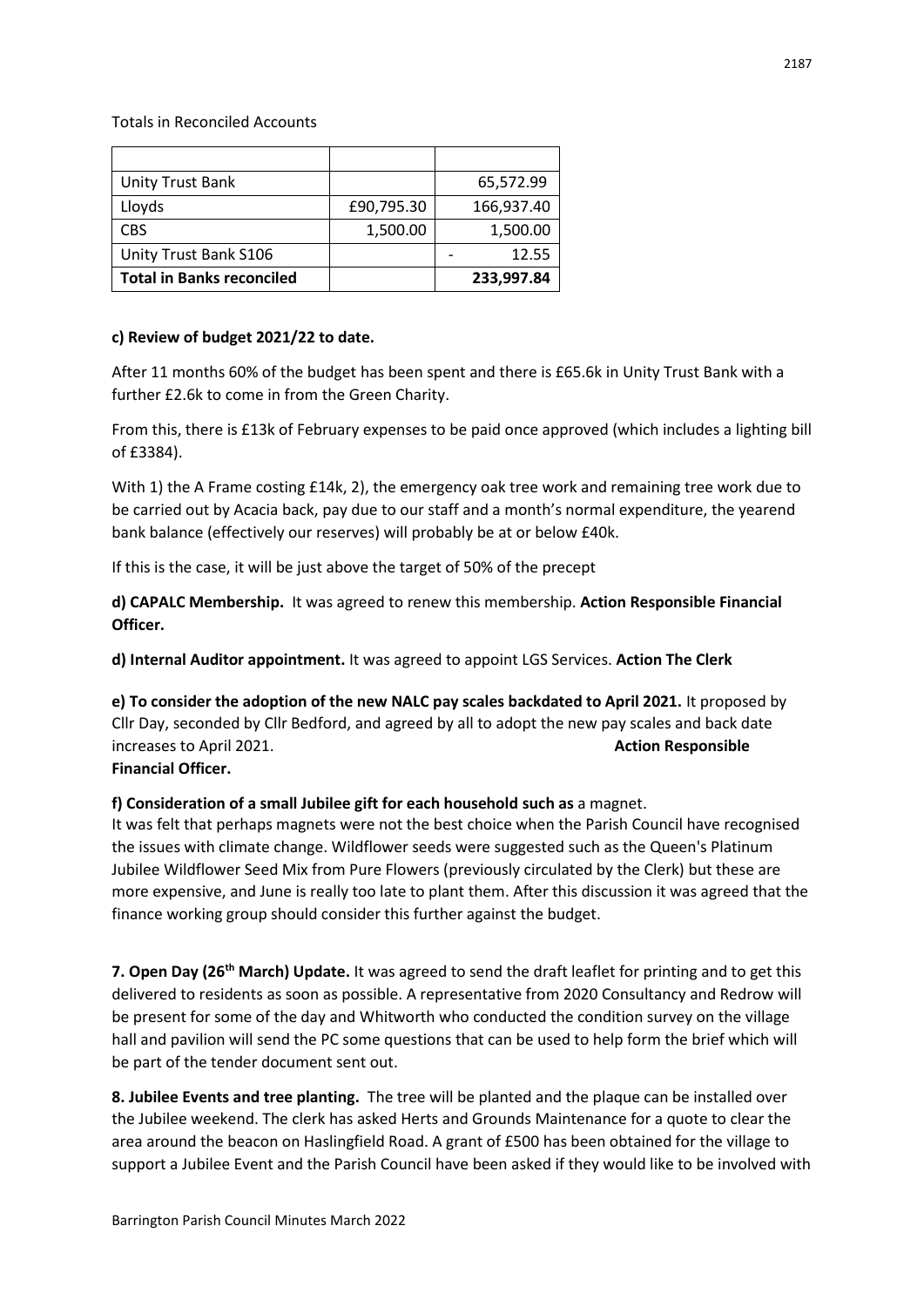Totals in Reconciled Accounts

| <b>Unity Trust Bank</b>          |            | 65,572.99  |
|----------------------------------|------------|------------|
| Lloyds                           | £90,795.30 | 166,937.40 |
| <b>CBS</b>                       | 1,500.00   | 1,500.00   |
| Unity Trust Bank S106            |            | 12.55      |
| <b>Total in Banks reconciled</b> |            | 233,997.84 |

### **c) Review of budget 2021/22 to date.**

After 11 months 60% of the budget has been spent and there is £65.6k in Unity Trust Bank with a further £2.6k to come in from the Green Charity.

From this, there is £13k of February expenses to be paid once approved (which includes a lighting bill of £3384).

With 1) the A Frame costing £14k, 2), the emergency oak tree work and remaining tree work due to be carried out by Acacia back, pay due to our staff and a month's normal expenditure, the yearend bank balance (effectively our reserves) will probably be at or below £40k.

If this is the case, it will be just above the target of 50% of the precept

**d) CAPALC Membership.** It was agreed to renew this membership. **Action Responsible Financial Officer.** 

**d) Internal Auditor appointment.** It was agreed to appoint LGS Services. **Action The Clerk** 

**e) To consider the adoption of the new NALC pay scales backdated to April 2021.** It proposed by Cllr Day, seconded by Cllr Bedford, and agreed by all to adopt the new pay scales and back date increases to April 2021. **Action Responsible Financial Officer.**

# **f) Consideration of a small Jubilee gift for each household such as** a magnet.

It was felt that perhaps magnets were not the best choice when the Parish Council have recognised the issues with climate change. Wildflower seeds were suggested such as the Queen's Platinum Jubilee Wildflower Seed Mix from Pure Flowers (previously circulated by the Clerk) but these are more expensive, and June is really too late to plant them. After this discussion it was agreed that the finance working group should consider this further against the budget.

**7. Open Day (26th March) Update.** It was agreed to send the draft leaflet for printing and to get this delivered to residents as soon as possible. A representative from 2020 Consultancy and Redrow will be present for some of the day and Whitworth who conducted the condition survey on the village hall and pavilion will send the PC some questions that can be used to help form the brief which will be part of the tender document sent out.

**8. Jubilee Events and tree planting.** The tree will be planted and the plaque can be installed over the Jubilee weekend. The clerk has asked Herts and Grounds Maintenance for a quote to clear the area around the beacon on Haslingfield Road. A grant of £500 has been obtained for the village to support a Jubilee Event and the Parish Council have been asked if they would like to be involved with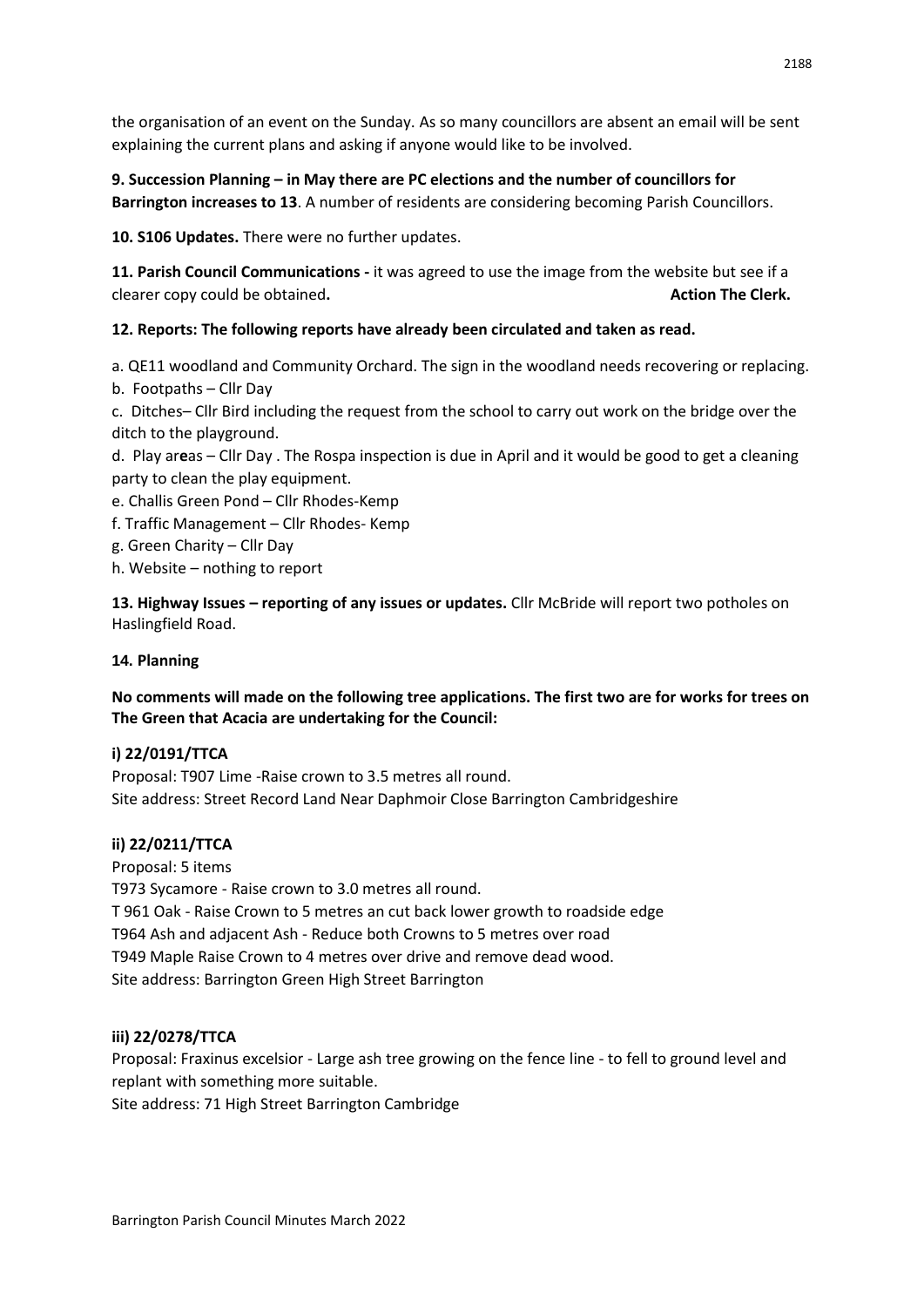the organisation of an event on the Sunday. As so many councillors are absent an email will be sent explaining the current plans and asking if anyone would like to be involved.

# **9. Succession Planning – in May there are PC elections and the number of councillors for**

**Barrington increases to 13**. A number of residents are considering becoming Parish Councillors.

**10. S106 Updates.** There were no further updates.

**11. Parish Council Communications -** it was agreed to use the image from the website but see if a clearer copy could be obtained. **Action The Clerk. Action The Clerk. Action The Clerk.** 

# **12. Reports: The following reports have already been circulated and taken as read.**

a. QE11 woodland and Community Orchard. The sign in the woodland needs recovering or replacing.

b. Footpaths – Cllr Day

c. Ditches– Cllr Bird including the request from the school to carry out work on the bridge over the ditch to the playground.

d. Play ar**e**as – Cllr Day . The Rospa inspection is due in April and it would be good to get a cleaning party to clean the play equipment.

- e. Challis Green Pond Cllr Rhodes-Kemp
- f. Traffic Management Cllr Rhodes- Kemp
- g. Green Charity Cllr Day
- h. Website nothing to report

**13. Highway Issues – reporting of any issues or updates.** Cllr McBride will report two potholes on Haslingfield Road.

# **14. Planning**

# **No comments will made on the following tree applications. The first two are for works for trees on The Green that Acacia are undertaking for the Council:**

# **i) 22/0191/TTCA**

Proposal: T907 Lime -Raise crown to 3.5 metres all round. Site address: Street Record Land Near Daphmoir Close Barrington Cambridgeshire

# **ii) 22/0211/TTCA**

Proposal: 5 items

T973 Sycamore - Raise crown to 3.0 metres all round. T 961 Oak - Raise Crown to 5 metres an cut back lower growth to roadside edge T964 Ash and adjacent Ash - Reduce both Crowns to 5 metres over road T949 Maple Raise Crown to 4 metres over drive and remove dead wood. Site address: Barrington Green High Street Barrington

# **iii) 22/0278/TTCA**

Proposal: Fraxinus excelsior - Large ash tree growing on the fence line - to fell to ground level and replant with something more suitable.

Site address: 71 High Street Barrington Cambridge